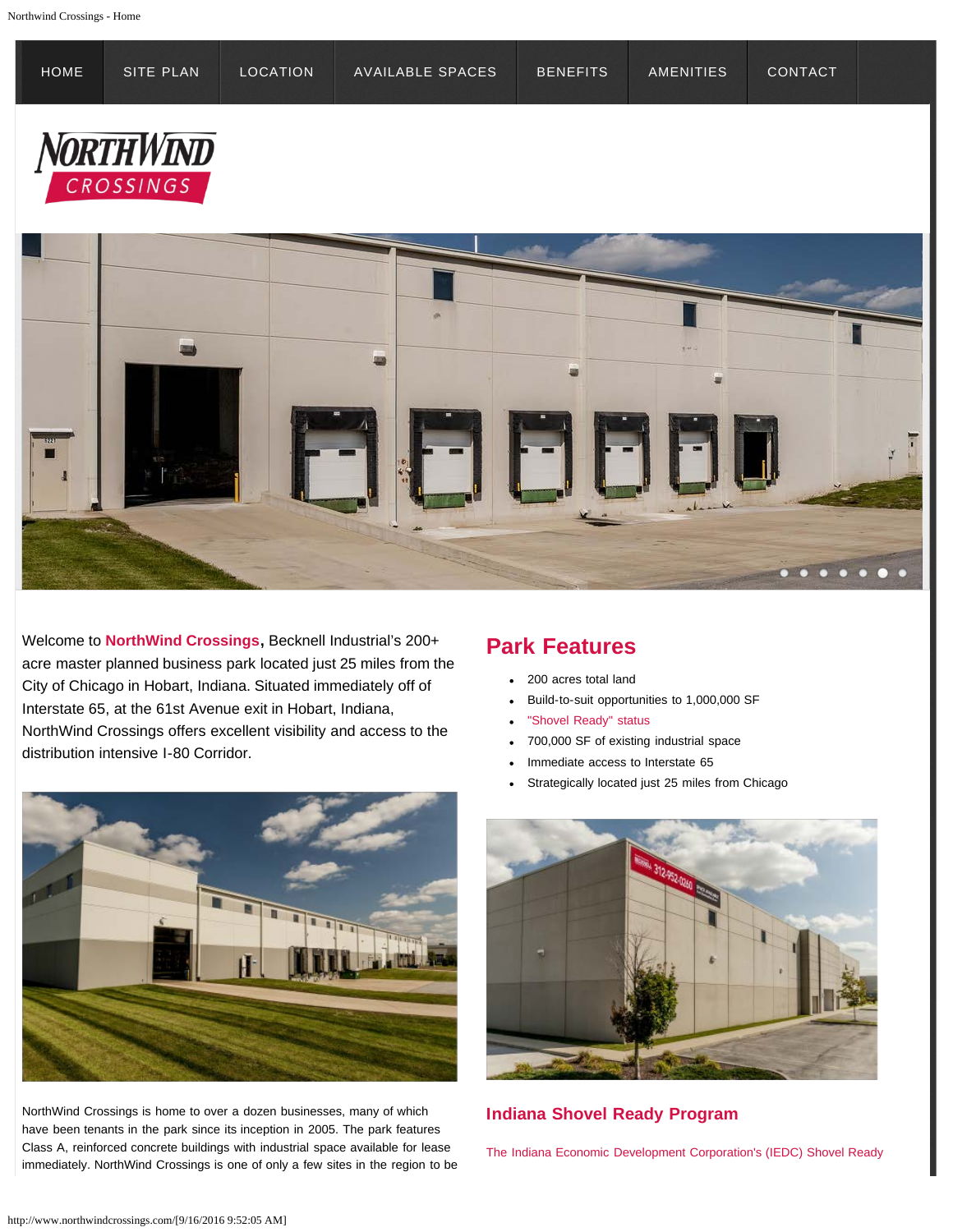<span id="page-0-0"></span>

Welcome to **NorthWind Crossings,** Becknell Industrial's 200+ acre master planned business park located just 25 miles from the City of Chicago in Hobart, Indiana. Situated immediately off of Interstate 65, at the 61st Avenue exit in Hobart, Indiana, NorthWind Crossings offers excellent visibility and access to the distribution intensive I-80 Corridor.



NorthWind Crossings is home to over a dozen businesses, many of which have been tenants in the park since its inception in 2005. The park features Class A, reinforced concrete buildings with industrial space available for lease immediately. NorthWind Crossings is one of only a few sites in the region to be

## **Park Features**

- 200 acres total land
- Build-to-suit opportunities to 1,000,000 SF
- "Shovel Ready" status
- 700,000 SF of existing industrial space
- Immediate access to Interstate 65
- Strategically located just 25 miles from Chicago



## **Indiana Shovel Ready Program**

The Indiana Economic Development Corporation's (IEDC) Shovel Ready